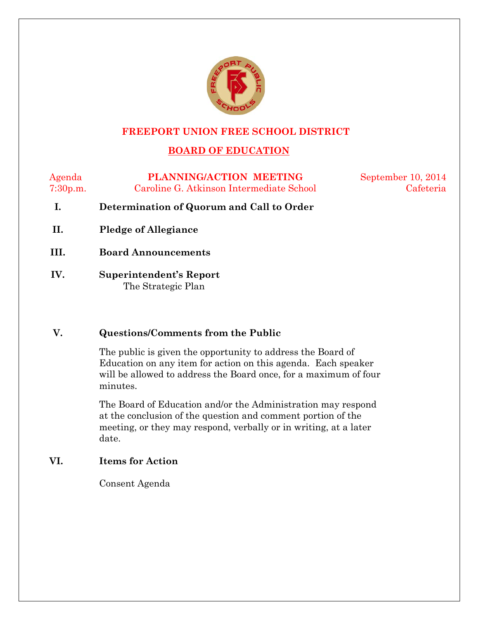

#### **FREEPORT UNION FREE SCHOOL DISTRICT**

## **BOARD OF EDUCATION**

Agenda **PLANNING/ACTION MEETING** September 10, 2014 7:30p.m. Caroline G. Atkinson Intermediate School Cafeteria

- **I. Determination of Quorum and Call to Order**
- **II. Pledge of Allegiance**
- **III. Board Announcements**
- **IV. Superintendent's Report**  The Strategic Plan

#### **V. Questions/Comments from the Public**

The public is given the opportunity to address the Board of Education on any item for action on this agenda. Each speaker will be allowed to address the Board once, for a maximum of four minutes.

The Board of Education and/or the Administration may respond at the conclusion of the question and comment portion of the meeting, or they may respond, verbally or in writing, at a later date.

#### **VI. Items for Action**

Consent Agenda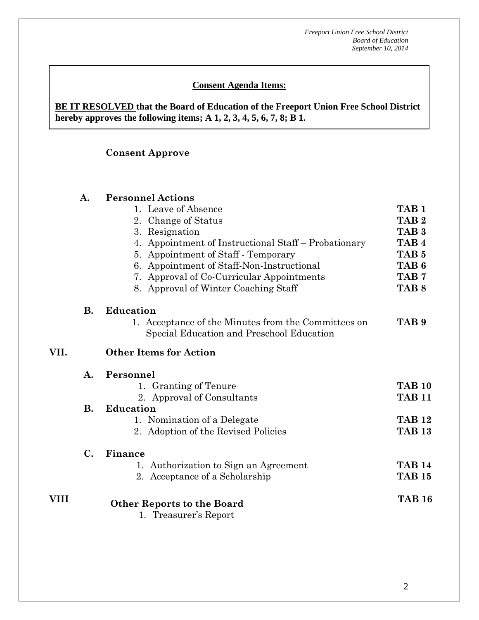#### **Consent Agenda Items:**

#### **BE IT RESOLVED that the Board of Education of the Freeport Union Free School District hereby approves the following items; A 1, 2, 3, 4, 5, 6, 7, 8; B 1.**

## **Consent Approve**

|      | A.             | <b>Personnel Actions</b>                                   |                  |
|------|----------------|------------------------------------------------------------|------------------|
|      |                | 1. Leave of Absence                                        | TAB <sub>1</sub> |
|      |                | 2. Change of Status                                        | TAB <sub>2</sub> |
|      |                | 3. Resignation                                             | TAB <sub>3</sub> |
|      |                | 4. Appointment of Instructional Staff – Probationary       | TAB <sub>4</sub> |
|      |                | 5. Appointment of Staff - Temporary                        | TAB <sub>5</sub> |
|      |                | 6. Appointment of Staff-Non-Instructional                  | TAB <sub>6</sub> |
|      |                | 7. Approval of Co-Curricular Appointments                  | TAB <sub>7</sub> |
|      |                | 8. Approval of Winter Coaching Staff                       | TAB <sub>8</sub> |
|      | <b>B.</b>      | <b>Education</b>                                           |                  |
|      |                | 1. Acceptance of the Minutes from the Committees on        | TAB <sub>9</sub> |
|      |                | Special Education and Preschool Education                  |                  |
| VII. |                | <b>Other Items for Action</b>                              |                  |
|      | $\mathbf{A}$ . | Personnel                                                  |                  |
|      |                | 1. Granting of Tenure                                      | <b>TAB 10</b>    |
|      |                | 2. Approval of Consultants                                 | <b>TAB 11</b>    |
|      | <b>B.</b>      | <b>Education</b>                                           |                  |
|      |                | 1. Nomination of a Delegate                                | <b>TAB 12</b>    |
|      |                | 2. Adoption of the Revised Policies                        | <b>TAB 13</b>    |
|      | $\mathbf{C}$ . | Finance                                                    |                  |
|      |                | 1. Authorization to Sign an Agreement                      | <b>TAB 14</b>    |
|      |                | 2. Acceptance of a Scholarship                             | <b>TAB 15</b>    |
| VIII |                |                                                            | <b>TAB 16</b>    |
|      |                | <b>Other Reports to the Board</b><br>1. Treasurer's Report |                  |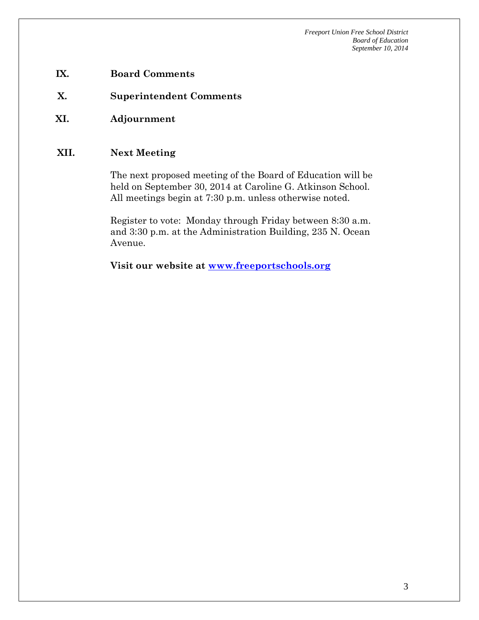- **IX. Board Comments**
- **X. Superintendent Comments**
- **XI. Adjournment**

## **XII. Next Meeting**

The next proposed meeting of the Board of Education will be held on September 30, 2014 at Caroline G. Atkinson School. All meetings begin at 7:30 p.m. unless otherwise noted.

Register to vote: Monday through Friday between 8:30 a.m. and 3:30 p.m. at the Administration Building, 235 N. Ocean Avenue.

**Visit our website at [www.freeportschools.org](http://www.freeportschools.org/)**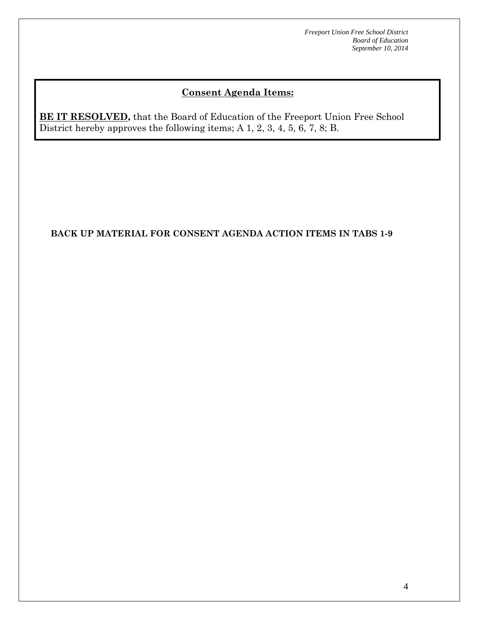# **Consent Agenda Items:**

**BE IT RESOLVED**, that the Board of Education of the Freeport Union Free School District hereby approves the following items; A 1, 2, 3, 4, 5, 6, 7, 8; B.

#### **BACK UP MATERIAL FOR CONSENT AGENDA ACTION ITEMS IN TABS 1-9**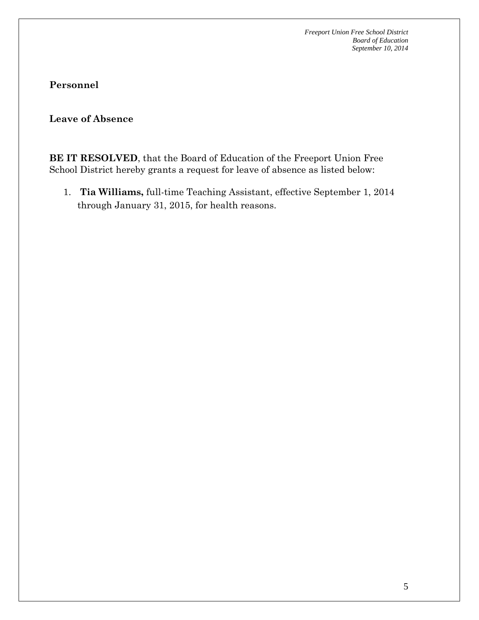#### **Leave of Absence**

**BE IT RESOLVED**, that the Board of Education of the Freeport Union Free School District hereby grants a request for leave of absence as listed below:

1. **Tia Williams,** full-time Teaching Assistant, effective September 1, 2014 through January 31, 2015, for health reasons.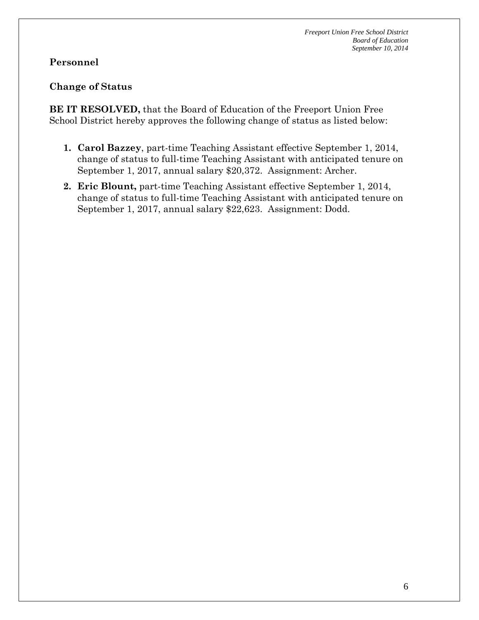## **Personnel**

## **Change of Status**

**BE IT RESOLVED,** that the Board of Education of the Freeport Union Free School District hereby approves the following change of status as listed below:

- **1. Carol Bazzey**, part-time Teaching Assistant effective September 1, 2014, change of status to full-time Teaching Assistant with anticipated tenure on September 1, 2017, annual salary \$20,372. Assignment: Archer.
- **2. Eric Blount,** part-time Teaching Assistant effective September 1, 2014, change of status to full-time Teaching Assistant with anticipated tenure on September 1, 2017, annual salary \$22,623. Assignment: Dodd.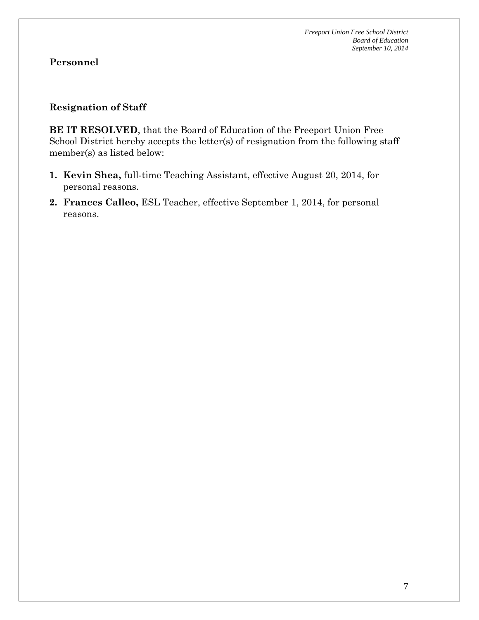#### **Resignation of Staff**

**BE IT RESOLVED**, that the Board of Education of the Freeport Union Free School District hereby accepts the letter(s) of resignation from the following staff member(s) as listed below:

- **1. Kevin Shea,** full-time Teaching Assistant, effective August 20, 2014, for personal reasons.
- **2. Frances Calleo,** ESL Teacher, effective September 1, 2014, for personal reasons.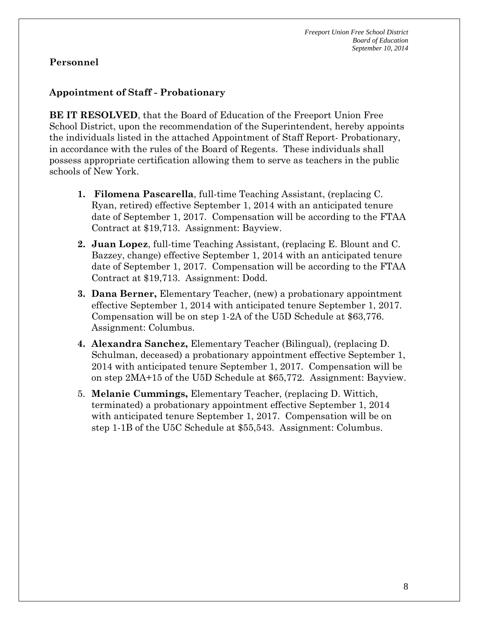### **Appointment of Staff - Probationary**

**BE IT RESOLVED**, that the Board of Education of the Freeport Union Free School District, upon the recommendation of the Superintendent, hereby appoints the individuals listed in the attached Appointment of Staff Report- Probationary, in accordance with the rules of the Board of Regents. These individuals shall possess appropriate certification allowing them to serve as teachers in the public schools of New York.

- **1. Filomena Pascarella**, full-time Teaching Assistant, (replacing C. Ryan, retired) effective September 1, 2014 with an anticipated tenure date of September 1, 2017. Compensation will be according to the FTAA Contract at \$19,713. Assignment: Bayview.
- **2. Juan Lopez**, full-time Teaching Assistant, (replacing E. Blount and C. Bazzey, change) effective September 1, 2014 with an anticipated tenure date of September 1, 2017. Compensation will be according to the FTAA Contract at \$19,713. Assignment: Dodd.
- **3. Dana Berner,** Elementary Teacher, (new) a probationary appointment effective September 1, 2014 with anticipated tenure September 1, 2017. Compensation will be on step 1-2A of the U5D Schedule at \$63,776. Assignment: Columbus.
- **4. Alexandra Sanchez,** Elementary Teacher (Bilingual), (replacing D. Schulman, deceased) a probationary appointment effective September 1, 2014 with anticipated tenure September 1, 2017. Compensation will be on step 2MA+15 of the U5D Schedule at \$65,772. Assignment: Bayview.
- 5. **Melanie Cummings,** Elementary Teacher, (replacing D. Wittich, terminated) a probationary appointment effective September 1, 2014 with anticipated tenure September 1, 2017. Compensation will be on step 1-1B of the U5C Schedule at \$55,543. Assignment: Columbus.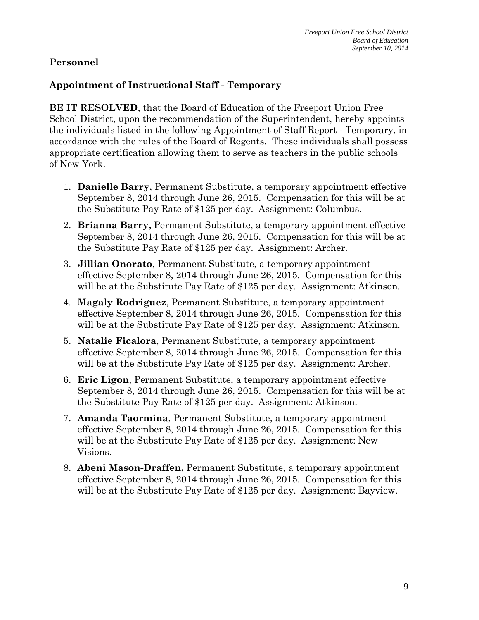### **Appointment of Instructional Staff - Temporary**

**BE IT RESOLVED**, that the Board of Education of the Freeport Union Free School District, upon the recommendation of the Superintendent, hereby appoints the individuals listed in the following Appointment of Staff Report - Temporary, in accordance with the rules of the Board of Regents. These individuals shall possess appropriate certification allowing them to serve as teachers in the public schools of New York.

- 1. **Danielle Barry**, Permanent Substitute, a temporary appointment effective September 8, 2014 through June 26, 2015. Compensation for this will be at the Substitute Pay Rate of \$125 per day. Assignment: Columbus.
- 2. **Brianna Barry,** Permanent Substitute, a temporary appointment effective September 8, 2014 through June 26, 2015. Compensation for this will be at the Substitute Pay Rate of \$125 per day. Assignment: Archer.
- 3. **Jillian Onorato**, Permanent Substitute, a temporary appointment effective September 8, 2014 through June 26, 2015. Compensation for this will be at the Substitute Pay Rate of \$125 per day. Assignment: Atkinson.
- 4. **Magaly Rodriguez**, Permanent Substitute, a temporary appointment effective September 8, 2014 through June 26, 2015. Compensation for this will be at the Substitute Pay Rate of \$125 per day. Assignment: Atkinson.
- 5. **Natalie Ficalora**, Permanent Substitute, a temporary appointment effective September 8, 2014 through June 26, 2015. Compensation for this will be at the Substitute Pay Rate of \$125 per day. Assignment: Archer.
- 6. **Eric Ligon**, Permanent Substitute, a temporary appointment effective September 8, 2014 through June 26, 2015. Compensation for this will be at the Substitute Pay Rate of \$125 per day. Assignment: Atkinson.
- 7. **Amanda Taormina**, Permanent Substitute, a temporary appointment effective September 8, 2014 through June 26, 2015. Compensation for this will be at the Substitute Pay Rate of \$125 per day. Assignment: New Visions.
- 8. **Abeni Mason-Draffen,** Permanent Substitute, a temporary appointment effective September 8, 2014 through June 26, 2015. Compensation for this will be at the Substitute Pay Rate of \$125 per day. Assignment: Bayview.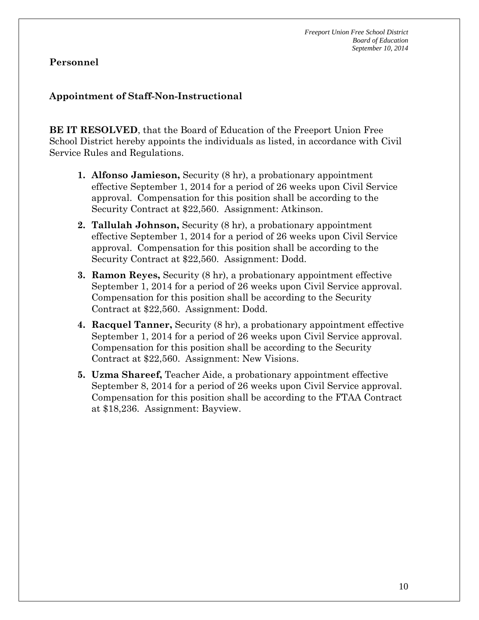## **Appointment of Staff-Non-Instructional**

**BE IT RESOLVED**, that the Board of Education of the Freeport Union Free School District hereby appoints the individuals as listed, in accordance with Civil Service Rules and Regulations.

- **1. Alfonso Jamieson,** Security (8 hr), a probationary appointment effective September 1, 2014 for a period of 26 weeks upon Civil Service approval. Compensation for this position shall be according to the Security Contract at \$22,560. Assignment: Atkinson.
- **2. Tallulah Johnson,** Security (8 hr), a probationary appointment effective September 1, 2014 for a period of 26 weeks upon Civil Service approval. Compensation for this position shall be according to the Security Contract at \$22,560. Assignment: Dodd.
- **3. Ramon Reyes,** Security (8 hr), a probationary appointment effective September 1, 2014 for a period of 26 weeks upon Civil Service approval. Compensation for this position shall be according to the Security Contract at \$22,560. Assignment: Dodd.
- **4. Racquel Tanner,** Security (8 hr), a probationary appointment effective September 1, 2014 for a period of 26 weeks upon Civil Service approval. Compensation for this position shall be according to the Security Contract at \$22,560. Assignment: New Visions.
- **5. Uzma Shareef,** Teacher Aide, a probationary appointment effective September 8, 2014 for a period of 26 weeks upon Civil Service approval. Compensation for this position shall be according to the FTAA Contract at \$18,236. Assignment: Bayview.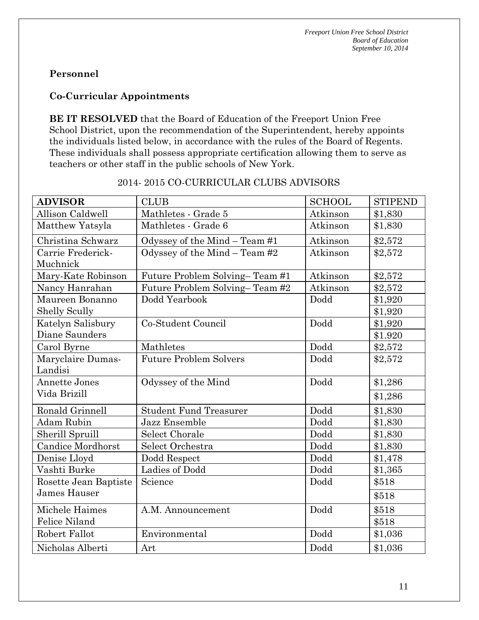## **Co-Curricular Appointments**

**BE IT RESOLVED** that the Board of Education of the Freeport Union Free School District, upon the recommendation of the Superintendent, hereby appoints the individuals listed below, in accordance with the rules of the Board of Regents. These individuals shall possess appropriate certification allowing them to serve as teachers or other staff in the public schools of New York.

| <b>ADVISOR</b>           | <b>CLUB</b>                    | <b>SCHOOL</b> | <b>STIPEND</b> |
|--------------------------|--------------------------------|---------------|----------------|
| Allison Caldwell         | Mathletes - Grade 5            | Atkinson      | \$1,830        |
| Matthew Yatsyla          | Mathletes - Grade 6            | Atkinson      | \$1,830        |
| Christina Schwarz        | Odyssey of the Mind – Team #1  | Atkinson      | \$2,572        |
| Carrie Frederick-        | Odyssey of the Mind - Team #2  | Atkinson      | \$2,572        |
| Muchnick                 |                                |               |                |
| Mary-Kate Robinson       | Future Problem Solving-Team #1 | Atkinson      | \$2,572        |
| Nancy Hanrahan           | Future Problem Solving-Team #2 | Atkinson      | \$2,572        |
| Maureen Bonanno          | Dodd Yearbook                  | Dodd          | \$1,920        |
| Shelly Scully            |                                |               | \$1,920        |
| Katelyn Salisbury        | Co-Student Council             | Dodd          | \$1,920        |
| Diane Saunders           |                                |               | \$1.920        |
| Carol Byrne              | Mathletes                      | Dodd          | \$2,572        |
| Maryclaire Dumas-        | <b>Future Problem Solvers</b>  | Dodd          | \$2,572        |
| Landisi                  |                                |               |                |
| <b>Annette Jones</b>     | Odyssey of the Mind            | Dodd          | \$1,286        |
| Vida Brizill             |                                |               | \$1,286        |
| Ronald Grinnell          | <b>Student Fund Treasurer</b>  | Dodd          | \$1,830        |
| <b>Adam Rubin</b>        | Jazz Ensemble                  | Dodd          | \$1,830        |
| Sherill Spruill          | <b>Select Chorale</b>          | Dodd          | \$1,830        |
| <b>Candice Mordhorst</b> | Select Orchestra               | Dodd          | \$1,830        |
| Denise Lloyd             | Dodd Respect                   | Dodd          | \$1,478        |
| Vashti Burke             | Ladies of Dodd                 | Dodd          | \$1,365        |
| Rosette Jean Baptiste    | Science                        | Dodd          | \$518          |
| James Hauser             |                                |               | \$518          |
| Michele Haimes           | A.M. Announcement              | Dodd          | \$518          |
| Felice Niland            |                                |               | \$518          |
| Robert Fallot            | Environmental                  | Dodd          | \$1,036        |
| Nicholas Alberti         | Art                            | Dodd          | \$1,036        |

## 2014- 2015 CO-CURRICULAR CLUBS ADVISORS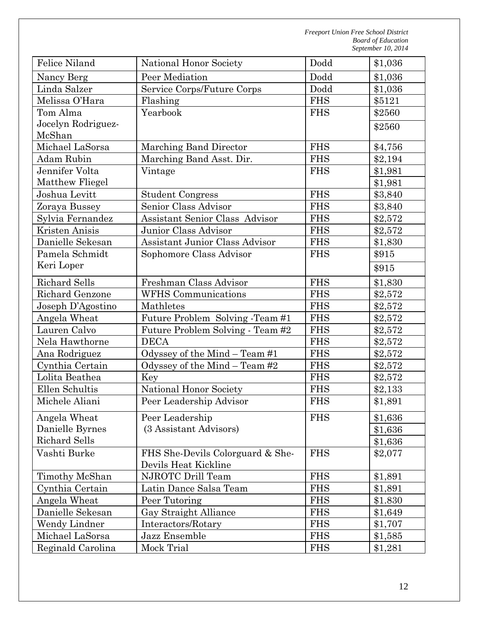| Felice Niland        | National Honor Society           | Dodd       | \$1,036 |
|----------------------|----------------------------------|------------|---------|
| Nancy Berg           | Peer Mediation                   | Dodd       | \$1,036 |
| Linda Salzer         | Service Corps/Future Corps       | Dodd       | \$1,036 |
| Melissa O'Hara       | Flashing                         | <b>FHS</b> | \$5121  |
| Tom Alma             | Yearbook                         | <b>FHS</b> | \$2560  |
| Jocelyn Rodriguez-   |                                  |            | \$2560  |
| McShan               |                                  |            |         |
| Michael LaSorsa      | Marching Band Director           | <b>FHS</b> | \$4,756 |
| <b>Adam Rubin</b>    | Marching Band Asst. Dir.         | <b>FHS</b> | \$2,194 |
| Jennifer Volta       | Vintage                          | <b>FHS</b> | \$1,981 |
| Matthew Fliegel      |                                  |            | \$1,981 |
| Joshua Levitt        | <b>Student Congress</b>          | <b>FHS</b> | \$3,840 |
| Zoraya Bussey        | Senior Class Advisor             | <b>FHS</b> | \$3,840 |
| Sylvia Fernandez     | Assistant Senior Class Advisor   | <b>FHS</b> | \$2,572 |
| Kristen Anisis       | Junior Class Advisor             | <b>FHS</b> | \$2,572 |
| Danielle Sekesan     | Assistant Junior Class Advisor   | <b>FHS</b> | \$1,830 |
| Pamela Schmidt       | Sophomore Class Advisor          | <b>FHS</b> | \$915   |
| Keri Loper           |                                  |            | \$915   |
| <b>Richard Sells</b> | Freshman Class Advisor           | <b>FHS</b> | \$1,830 |
| Richard Genzone      | <b>WFHS</b> Communications       | <b>FHS</b> | \$2,572 |
| Joseph D'Agostino    | Mathletes                        | <b>FHS</b> | \$2,572 |
| Angela Wheat         | Future Problem Solving -Team #1  | <b>FHS</b> | \$2,572 |
| Lauren Calvo         | Future Problem Solving - Team #2 | <b>FHS</b> | \$2,572 |
| Nela Hawthorne       | <b>DECA</b>                      | <b>FHS</b> | \$2,572 |
| Ana Rodriguez        | Odyssey of the Mind – Team #1    | <b>FHS</b> | \$2,572 |
| Cynthia Certain      | Odyssey of the Mind - Team #2    | <b>FHS</b> | \$2,572 |
| Lolita Beathea       | Key                              | <b>FHS</b> | \$2,572 |
| Ellen Schultis       | National Honor Society           | <b>FHS</b> | \$2,133 |
| Michele Aliani       | Peer Leadership Advisor          | <b>FHS</b> | \$1,891 |
| Angela Wheat         | Peer Leadership                  | <b>FHS</b> | \$1,636 |
| Danielle Byrnes      | (3 Assistant Advisors)           |            | \$1,636 |
| <b>Richard Sells</b> |                                  |            | \$1,636 |
| Vashti Burke         | FHS She-Devils Colorguard & She- | <b>FHS</b> | \$2,077 |
|                      | Devils Heat Kickline             |            |         |
| Timothy McShan       | NJROTC Drill Team                | <b>FHS</b> | \$1,891 |
| Cynthia Certain      | Latin Dance Salsa Team           | <b>FHS</b> | \$1,891 |
| Angela Wheat         | Peer Tutoring                    | <b>FHS</b> | \$1.830 |
| Danielle Sekesan     | Gay Straight Alliance            | <b>FHS</b> | \$1,649 |
| Wendy Lindner        | Interactors/Rotary               | <b>FHS</b> | \$1,707 |
| Michael LaSorsa      | Jazz Ensemble                    | <b>FHS</b> | \$1,585 |
| Reginald Carolina    | Mock Trial                       | <b>FHS</b> | \$1,281 |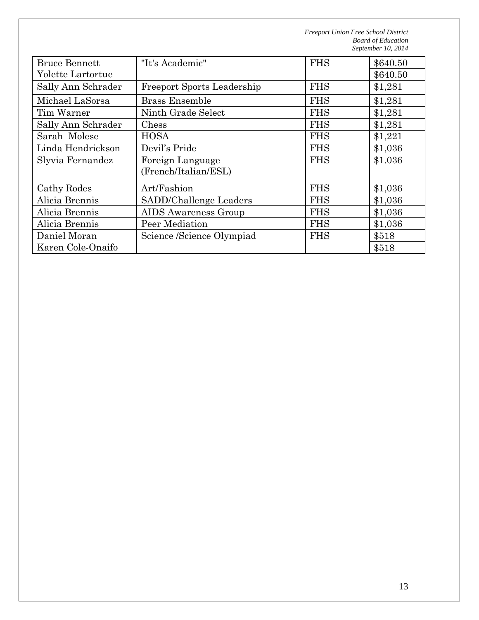| <b>Bruce Bennett</b> | "It's Academic"                   | <b>FHS</b> | \$640.50 |
|----------------------|-----------------------------------|------------|----------|
| Yolette Lartortue    |                                   |            | \$640.50 |
| Sally Ann Schrader   | <b>Freeport Sports Leadership</b> | <b>FHS</b> | \$1,281  |
| Michael LaSorsa      | <b>Brass Ensemble</b>             | <b>FHS</b> | \$1,281  |
| Tim Warner           | Ninth Grade Select                | <b>FHS</b> | \$1,281  |
| Sally Ann Schrader   | Chess                             | <b>FHS</b> | \$1,281  |
| Sarah Molese         | <b>HOSA</b>                       | <b>FHS</b> | \$1,221  |
| Linda Hendrickson    | Devil's Pride                     | <b>FHS</b> | \$1,036  |
| Slyvia Fernandez     | Foreign Language                  | <b>FHS</b> | \$1.036  |
|                      | (French/Italian/ESL)              |            |          |
| Cathy Rodes          | Art/Fashion                       | <b>FHS</b> | \$1,036  |
| Alicia Brennis       | SADD/Challenge Leaders            | <b>FHS</b> | \$1,036  |
| Alicia Brennis       | <b>AIDS</b> Awareness Group       | <b>FHS</b> | \$1,036  |
| Alicia Brennis       | Peer Mediation                    | <b>FHS</b> | \$1,036  |
| Daniel Moran         | Science /Science Olympiad         | <b>FHS</b> | \$518    |
| Karen Cole-Onaifo    |                                   |            | \$518    |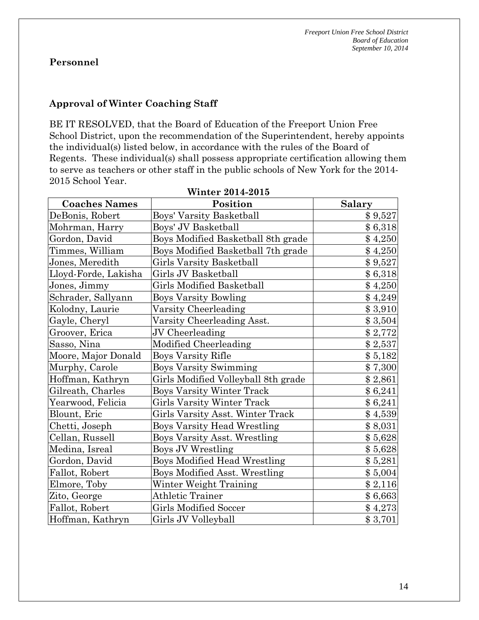#### **Approval of Winter Coaching Staff**

BE IT RESOLVED, that the Board of Education of the Freeport Union Free School District, upon the recommendation of the Superintendent, hereby appoints the individual(s) listed below, in accordance with the rules of the Board of Regents. These individual(s) shall possess appropriate certification allowing them to serve as teachers or other staff in the public schools of New York for the 2014- 2015 School Year.

| <b>Winter 2014-2015</b> |                                     |               |  |  |
|-------------------------|-------------------------------------|---------------|--|--|
| <b>Coaches Names</b>    | Position                            | <b>Salary</b> |  |  |
| DeBonis, Robert         | <b>Boys' Varsity Basketball</b>     | \$9,527       |  |  |
| Mohrman, Harry          | Boys' JV Basketball                 | \$6,318       |  |  |
| Gordon, David           | Boys Modified Basketball 8th grade  | \$4,250       |  |  |
| Timmes, William         | Boys Modified Basketball 7th grade  | \$4,250       |  |  |
| Jones, Meredith         | Girls Varsity Basketball            | \$9,527       |  |  |
| Lloyd-Forde, Lakisha    | Girls JV Basketball                 | \$6,318       |  |  |
| Jones, Jimmy            | <b>Girls Modified Basketball</b>    | \$4,250       |  |  |
| Schrader, Sallyann      | Boys Varsity Bowling                | \$4,249       |  |  |
| Kolodny, Laurie         | Varsity Cheerleading                | \$3,910       |  |  |
| Gayle, Cheryl           | Varsity Cheerleading Asst.          | \$3,504       |  |  |
| Groover, Erica          | JV Cheerleading                     | \$2,772       |  |  |
| Sasso, Nina             | Modified Cheerleading               | \$2,537       |  |  |
| Moore, Major Donald     | Boys Varsity Rifle                  | \$5,182       |  |  |
| Murphy, Carole          | <b>Boys Varsity Swimming</b>        | \$7,300       |  |  |
| Hoffman, Kathryn        | Girls Modified Volleyball 8th grade | \$2,861       |  |  |
| Gilreath, Charles       | Boys Varsity Winter Track           | \$6,241       |  |  |
| Yearwood, Felicia       | Girls Varsity Winter Track          | \$6,241       |  |  |
| Blount, Eric            | Girls Varsity Asst. Winter Track    | \$4,539       |  |  |
| Chetti, Joseph          | <b>Boys Varsity Head Wrestling</b>  | \$8,031       |  |  |
| Cellan, Russell         | <b>Boys Varsity Asst. Wrestling</b> | \$5,628       |  |  |
| Medina, Isreal          | Boys JV Wrestling                   | \$5,628       |  |  |
| Gordon, David           | <b>Boys Modified Head Wrestling</b> | \$5,281       |  |  |
| Fallot, Robert          | Boys Modified Asst. Wrestling       | \$5,004       |  |  |
| Elmore, Toby            | Winter Weight Training              | \$2,116       |  |  |
| Zito, George            | Athletic Trainer                    | \$6,663       |  |  |
| Fallot, Robert          | <b>Girls Modified Soccer</b>        | \$4,273       |  |  |
| Hoffman, Kathryn        | Girls JV Volleyball                 | \$3,701       |  |  |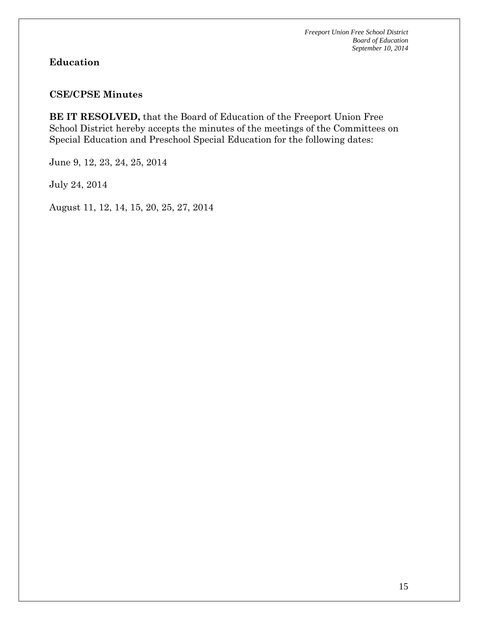# **Education**

#### **CSE/CPSE Minutes**

**BE IT RESOLVED,** that the Board of Education of the Freeport Union Free School District hereby accepts the minutes of the meetings of the Committees on Special Education and Preschool Special Education for the following dates:

June 9, 12, 23, 24, 25, 2014

July 24, 2014

August 11, 12, 14, 15, 20, 25, 27, 2014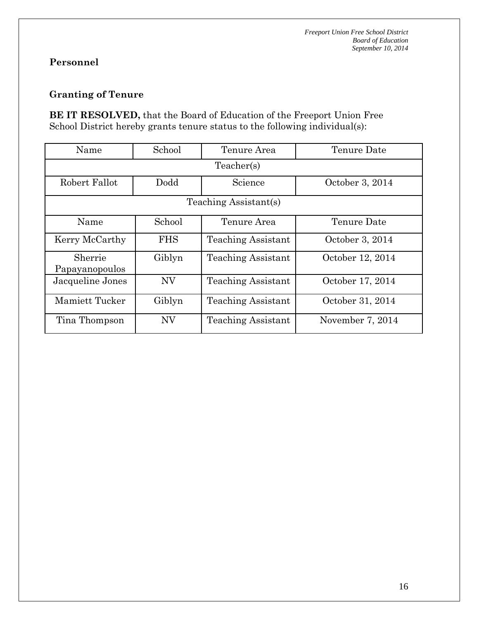## **Granting of Tenure**

**BE IT RESOLVED,** that the Board of Education of the Freeport Union Free School District hereby grants tenure status to the following individual(s):

| Name                      | School                | Tenure Area               | Tenure Date      |  |  |  |
|---------------------------|-----------------------|---------------------------|------------------|--|--|--|
| Teacher(s)                |                       |                           |                  |  |  |  |
| Robert Fallot             | Dodd                  | Science                   | October 3, 2014  |  |  |  |
|                           | Teaching Assistant(s) |                           |                  |  |  |  |
| Name                      | School                | Tenure Area               | Tenure Date      |  |  |  |
| Kerry McCarthy            | <b>FHS</b>            | <b>Teaching Assistant</b> | October 3, 2014  |  |  |  |
| Sherrie<br>Papayanopoulos | Giblyn                | <b>Teaching Assistant</b> | October 12, 2014 |  |  |  |
| Jacqueline Jones          | <b>NV</b>             | <b>Teaching Assistant</b> | October 17, 2014 |  |  |  |
| Mamiett Tucker            | Giblyn                | <b>Teaching Assistant</b> | October 31, 2014 |  |  |  |
| Tina Thompson             | <b>NV</b>             | Teaching Assistant        | November 7, 2014 |  |  |  |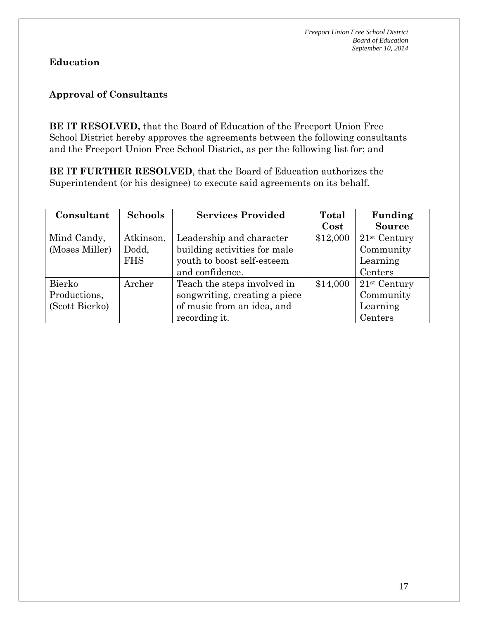## **Education**

## **Approval of Consultants**

**BE IT RESOLVED,** that the Board of Education of the Freeport Union Free School District hereby approves the agreements between the following consultants and the Freeport Union Free School District, as per the following list for; and

**BE IT FURTHER RESOLVED**, that the Board of Education authorizes the Superintendent (or his designee) to execute said agreements on its behalf.

| Consultant     | <b>Schools</b> | <b>Services Provided</b>      | Total    | Funding                    |
|----------------|----------------|-------------------------------|----------|----------------------------|
|                |                |                               | Cost     | <b>Source</b>              |
| Mind Candy,    | Atkinson,      | Leadership and character      | \$12,000 | $21st$ Century             |
| (Moses Miller) | Dodd,          | building activities for male  |          | Community                  |
|                | <b>FHS</b>     | youth to boost self-esteem    |          | Learning                   |
|                |                | and confidence.               |          | Centers                    |
| Bierko         | Archer         | Teach the steps involved in   | \$14,000 | $21$ <sup>st</sup> Century |
| Productions,   |                | songwriting, creating a piece |          | Community                  |
| (Scott Bierko) |                | of music from an idea, and    |          | Learning                   |
|                |                | recording it.                 |          | Centers                    |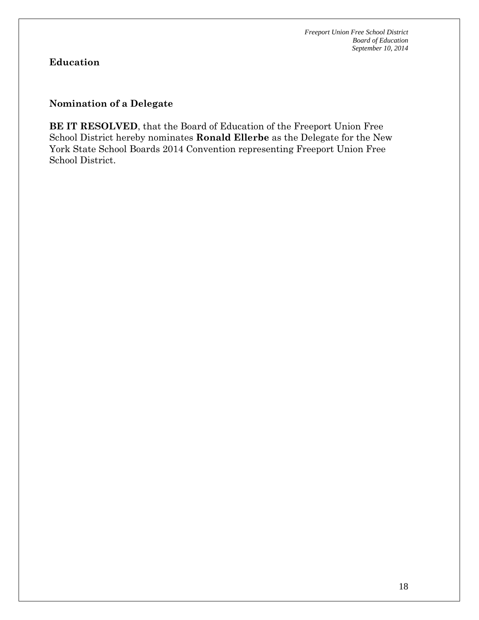# **Education**

#### **Nomination of a Delegate**

**BE IT RESOLVED**, that the Board of Education of the Freeport Union Free School District hereby nominates **Ronald Ellerbe** as the Delegate for the New York State School Boards 2014 Convention representing Freeport Union Free School District.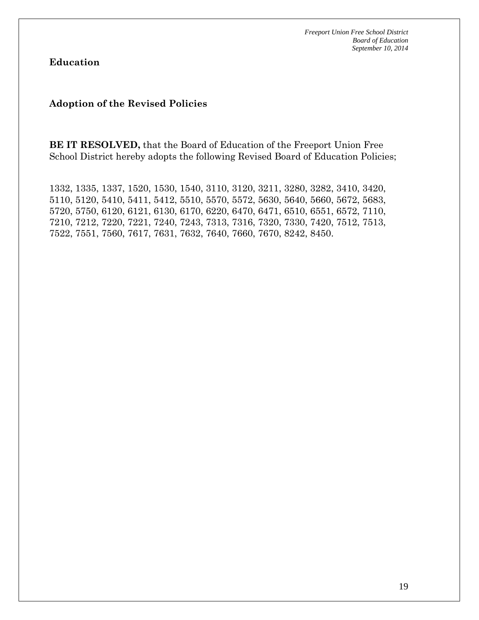**Education**

#### **Adoption of the Revised Policies**

**BE IT RESOLVED,** that the Board of Education of the Freeport Union Free School District hereby adopts the following Revised Board of Education Policies;

1332, 1335, 1337, 1520, 1530, 1540, 3110, 3120, 3211, 3280, 3282, 3410, 3420, 5110, 5120, 5410, 5411, 5412, 5510, 5570, 5572, 5630, 5640, 5660, 5672, 5683, 5720, 5750, 6120, 6121, 6130, 6170, 6220, 6470, 6471, 6510, 6551, 6572, 7110, 7210, 7212, 7220, 7221, 7240, 7243, 7313, 7316, 7320, 7330, 7420, 7512, 7513, 7522, 7551, 7560, 7617, 7631, 7632, 7640, 7660, 7670, 8242, 8450.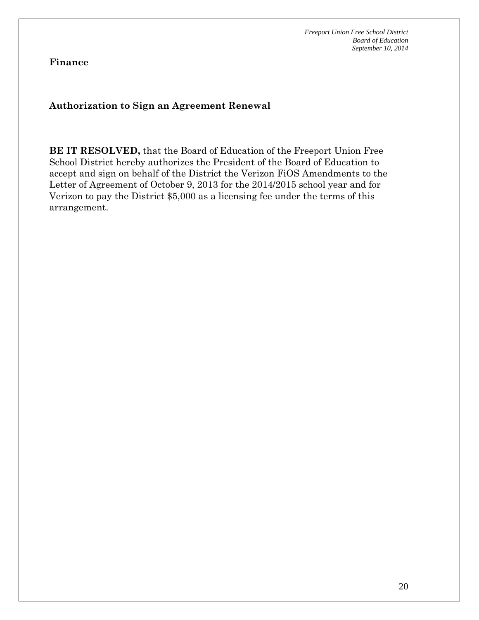**Finance**

#### **Authorization to Sign an Agreement Renewal**

**BE IT RESOLVED,** that the Board of Education of the Freeport Union Free School District hereby authorizes the President of the Board of Education to accept and sign on behalf of the District the Verizon FiOS Amendments to the Letter of Agreement of October 9, 2013 for the 2014/2015 school year and for Verizon to pay the District \$5,000 as a licensing fee under the terms of this arrangement.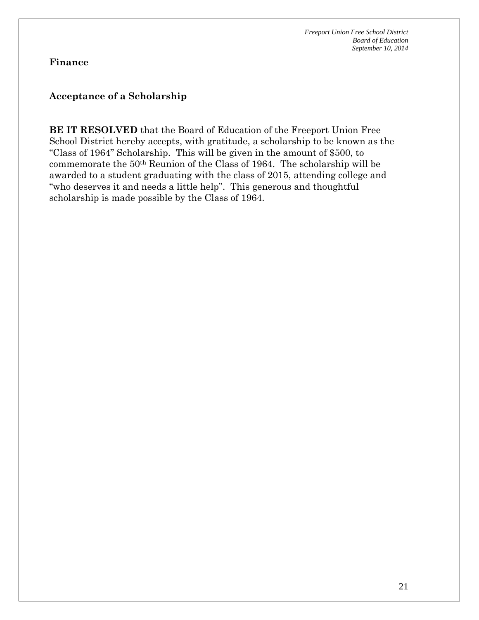#### **Finance**

#### **Acceptance of a Scholarship**

**BE IT RESOLVED** that the Board of Education of the Freeport Union Free School District hereby accepts, with gratitude, a scholarship to be known as the "Class of 1964" Scholarship. This will be given in the amount of \$500, to commemorate the 50th Reunion of the Class of 1964. The scholarship will be awarded to a student graduating with the class of 2015, attending college and "who deserves it and needs a little help". This generous and thoughtful scholarship is made possible by the Class of 1964.